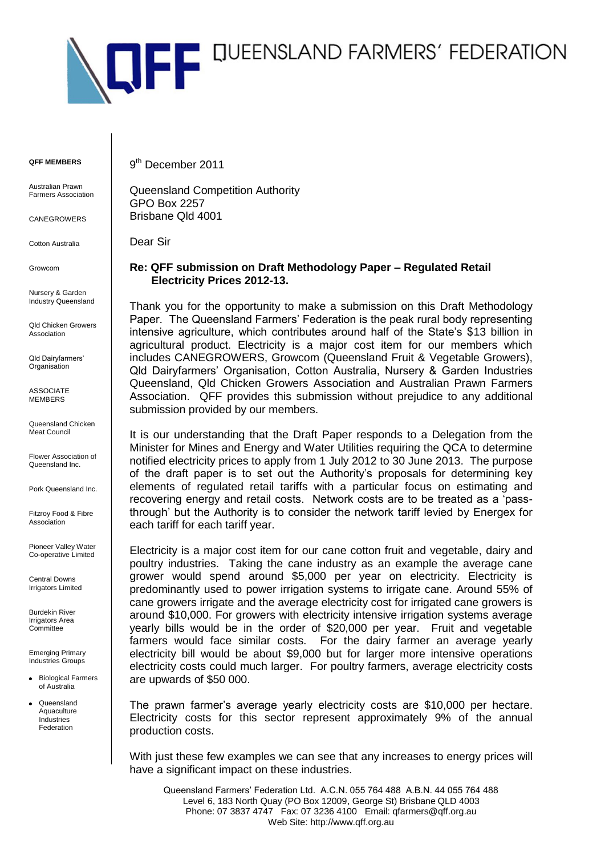

**QFF MEMBERS**

Australian Prawn Farmers Association

**CANEGROWERS** 

Cotton Australia

Growcom

Nursery & Garden Industry Queensland

Qld Chicken Growers Association

Qld Dairyfarmers' Organisation

ASSOCIATE MEMBERS

Queensland Chicken Meat Council

Flower Association of Queensland Inc.

Pork Queensland Inc.

Fitzroy Food & Fibre Association

Pioneer Valley Water Co-operative Limited

Central Downs Irrigators Limited

Burdekin River Irrigators Area **Committee** 

Emerging Primary Industries Groups

- **•** Biological Farmers of Australia
- Queensland **Aquaculture** Industries Federation

9<sup>th</sup> December 2011

Queensland Competition Authority GPO Box 2257 Brisbane Qld 4001

Dear Sir

# **Re: QFF submission on Draft Methodology Paper – Regulated Retail Electricity Prices 2012-13.**

Thank you for the opportunity to make a submission on this Draft Methodology Paper. The Queensland Farmers' Federation is the peak rural body representing intensive agriculture, which contributes around half of the State's \$13 billion in agricultural product. Electricity is a major cost item for our members which includes CANEGROWERS, Growcom (Queensland Fruit & Vegetable Growers), Qld Dairyfarmers' Organisation, Cotton Australia, Nursery & Garden Industries Queensland, Qld Chicken Growers Association and Australian Prawn Farmers Association. QFF provides this submission without prejudice to any additional submission provided by our members.

It is our understanding that the Draft Paper responds to a Delegation from the Minister for Mines and Energy and Water Utilities requiring the QCA to determine notified electricity prices to apply from 1 July 2012 to 30 June 2013. The purpose of the draft paper is to set out the Authority's proposals for determining key elements of regulated retail tariffs with a particular focus on estimating and recovering energy and retail costs. Network costs are to be treated as a 'passthrough' but the Authority is to consider the network tariff levied by Energex for each tariff for each tariff year.

Electricity is a major cost item for our cane cotton fruit and vegetable, dairy and poultry industries. Taking the cane industry as an example the average cane grower would spend around \$5,000 per year on electricity. Electricity is predominantly used to power irrigation systems to irrigate cane. Around 55% of cane growers irrigate and the average electricity cost for irrigated cane growers is around \$10,000. For growers with electricity intensive irrigation systems average yearly bills would be in the order of \$20,000 per year. Fruit and vegetable farmers would face similar costs. For the dairy farmer an average yearly electricity bill would be about \$9,000 but for larger more intensive operations electricity costs could much larger. For poultry farmers, average electricity costs are upwards of \$50 000.

The prawn farmer's average yearly electricity costs are \$10,000 per hectare. Electricity costs for this sector represent approximately 9% of the annual production costs.

With just these few examples we can see that any increases to energy prices will have a significant impact on these industries.

Queensland Farmers' Federation Ltd. A.C.N. 055 764 488 A.B.N. 44 055 764 488 Level 6, 183 North Quay (PO Box 12009, George St) Brisbane QLD 4003 Phone: 07 3837 4747 Fax: 07 3236 4100 Email: qfarmers@qff.org.au Web Site: http://www.qff.org.au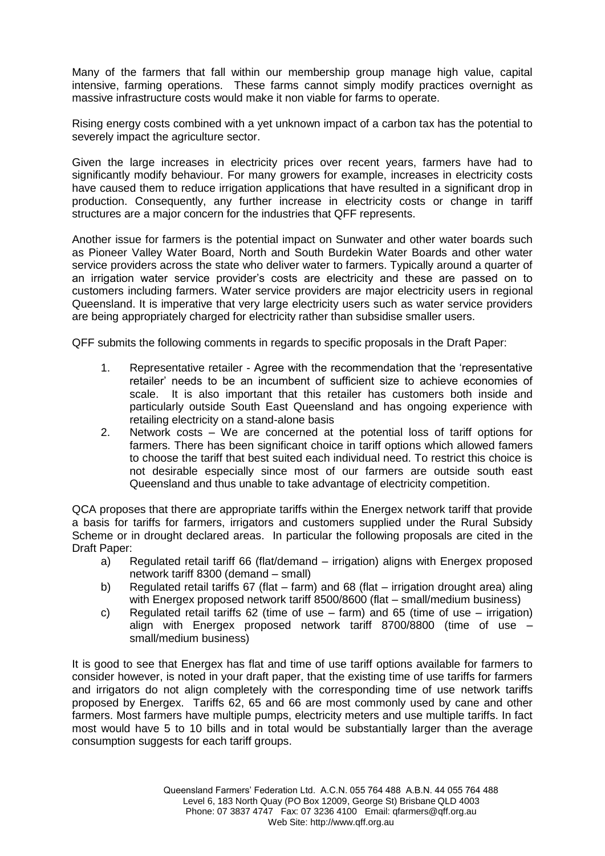Many of the farmers that fall within our membership group manage high value, capital intensive, farming operations. These farms cannot simply modify practices overnight as massive infrastructure costs would make it non viable for farms to operate.

Rising energy costs combined with a yet unknown impact of a carbon tax has the potential to severely impact the agriculture sector.

Given the large increases in electricity prices over recent years, farmers have had to significantly modify behaviour. For many growers for example, increases in electricity costs have caused them to reduce irrigation applications that have resulted in a significant drop in production. Consequently, any further increase in electricity costs or change in tariff structures are a major concern for the industries that QFF represents.

Another issue for farmers is the potential impact on Sunwater and other water boards such as Pioneer Valley Water Board, North and South Burdekin Water Boards and other water service providers across the state who deliver water to farmers. Typically around a quarter of an irrigation water service provider's costs are electricity and these are passed on to customers including farmers. Water service providers are major electricity users in regional Queensland. It is imperative that very large electricity users such as water service providers are being appropriately charged for electricity rather than subsidise smaller users.

QFF submits the following comments in regards to specific proposals in the Draft Paper:

- 1. Representative retailer Agree with the recommendation that the 'representative retailer' needs to be an incumbent of sufficient size to achieve economies of scale. It is also important that this retailer has customers both inside and particularly outside South East Queensland and has ongoing experience with retailing electricity on a stand-alone basis
- 2. Network costs We are concerned at the potential loss of tariff options for farmers. There has been significant choice in tariff options which allowed famers to choose the tariff that best suited each individual need. To restrict this choice is not desirable especially since most of our farmers are outside south east Queensland and thus unable to take advantage of electricity competition.

QCA proposes that there are appropriate tariffs within the Energex network tariff that provide a basis for tariffs for farmers, irrigators and customers supplied under the Rural Subsidy Scheme or in drought declared areas. In particular the following proposals are cited in the Draft Paper:

- a) Regulated retail tariff 66 (flat/demand irrigation) aligns with Energex proposed network tariff 8300 (demand – small)
- b) Regulated retail tariffs 67 (flat farm) and 68 (flat irrigation drought area) aling with Energex proposed network tariff 8500/8600 (flat – small/medium business)
- c) Regulated retail tariffs 62 (time of use farm) and 65 (time of use irrigation) align with Energex proposed network tariff 8700/8800 (time of use – small/medium business)

It is good to see that Energex has flat and time of use tariff options available for farmers to consider however, is noted in your draft paper, that the existing time of use tariffs for farmers and irrigators do not align completely with the corresponding time of use network tariffs proposed by Energex. Tariffs 62, 65 and 66 are most commonly used by cane and other farmers. Most farmers have multiple pumps, electricity meters and use multiple tariffs. In fact most would have 5 to 10 bills and in total would be substantially larger than the average consumption suggests for each tariff groups.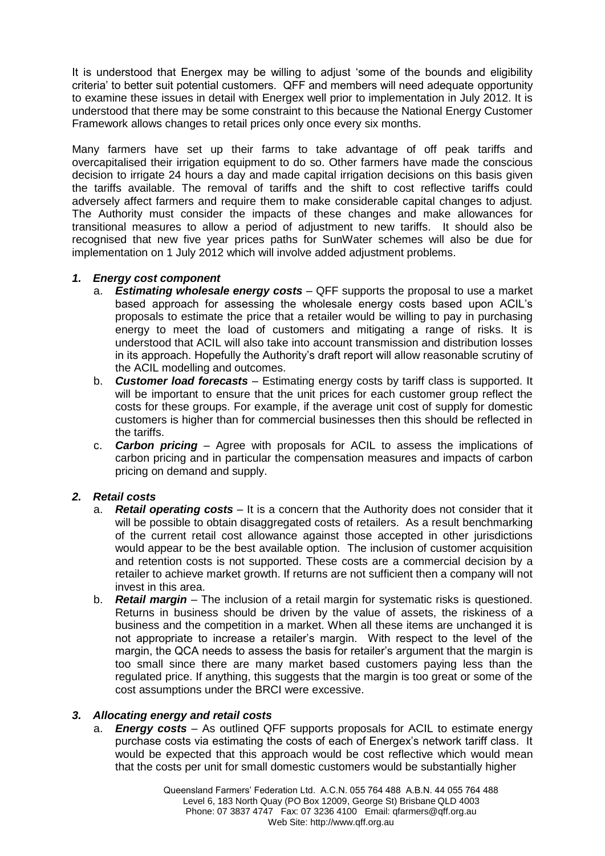It is understood that Energex may be willing to adjust 'some of the bounds and eligibility criteria' to better suit potential customers. QFF and members will need adequate opportunity to examine these issues in detail with Energex well prior to implementation in July 2012. It is understood that there may be some constraint to this because the National Energy Customer Framework allows changes to retail prices only once every six months.

Many farmers have set up their farms to take advantage of off peak tariffs and overcapitalised their irrigation equipment to do so. Other farmers have made the conscious decision to irrigate 24 hours a day and made capital irrigation decisions on this basis given the tariffs available. The removal of tariffs and the shift to cost reflective tariffs could adversely affect farmers and require them to make considerable capital changes to adjust. The Authority must consider the impacts of these changes and make allowances for transitional measures to allow a period of adjustment to new tariffs. It should also be recognised that new five year prices paths for SunWater schemes will also be due for implementation on 1 July 2012 which will involve added adjustment problems.

## *1. Energy cost component*

- a. *Estimating wholesale energy costs* QFF supports the proposal to use a market based approach for assessing the wholesale energy costs based upon ACIL's proposals to estimate the price that a retailer would be willing to pay in purchasing energy to meet the load of customers and mitigating a range of risks. It is understood that ACIL will also take into account transmission and distribution losses in its approach. Hopefully the Authority's draft report will allow reasonable scrutiny of the ACIL modelling and outcomes.
- b. *Customer load forecasts* Estimating energy costs by tariff class is supported. It will be important to ensure that the unit prices for each customer group reflect the costs for these groups. For example, if the average unit cost of supply for domestic customers is higher than for commercial businesses then this should be reflected in the tariffs.
- c. *Carbon pricing* Agree with proposals for ACIL to assess the implications of carbon pricing and in particular the compensation measures and impacts of carbon pricing on demand and supply.

## *2. Retail costs*

- a. *Retail operating costs*  It is a concern that the Authority does not consider that it will be possible to obtain disaggregated costs of retailers. As a result benchmarking of the current retail cost allowance against those accepted in other jurisdictions would appear to be the best available option. The inclusion of customer acquisition and retention costs is not supported. These costs are a commercial decision by a retailer to achieve market growth. If returns are not sufficient then a company will not invest in this area.
- b. *Retail margin*  The inclusion of a retail margin for systematic risks is questioned. Returns in business should be driven by the value of assets, the riskiness of a business and the competition in a market. When all these items are unchanged it is not appropriate to increase a retailer's margin. With respect to the level of the margin, the QCA needs to assess the basis for retailer's argument that the margin is too small since there are many market based customers paying less than the regulated price. If anything, this suggests that the margin is too great or some of the cost assumptions under the BRCI were excessive.

## *3. Allocating energy and retail costs*

a. *Energy costs* – As outlined QFF supports proposals for ACIL to estimate energy purchase costs via estimating the costs of each of Energex's network tariff class. It would be expected that this approach would be cost reflective which would mean that the costs per unit for small domestic customers would be substantially higher